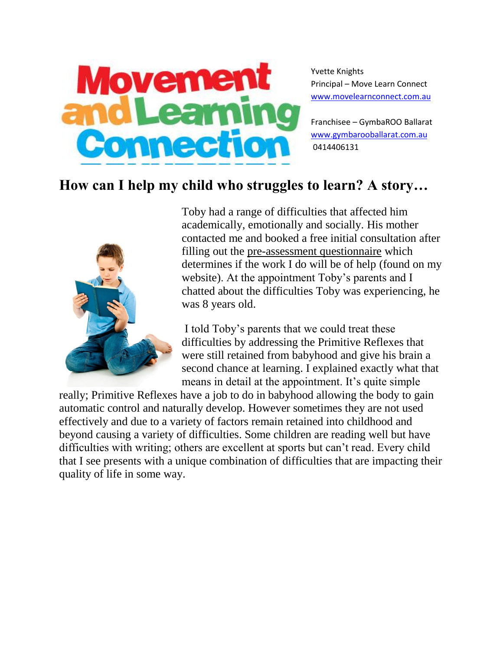

Yvette Knights Principal – Move Learn Connect [www.movelearnconnect.com.au](http://www.movelearnconnect.com.au/)

Franchisee – GymbaROO Ballarat [www.gymbarooballarat.com.au](http://www.gymbarooballarat.com.au/) 0414406131

## **How can I help my child who struggles to learn? A story…**



Toby had a range of difficulties that affected him academically, emotionally and socially. His mother contacted me and booked a free initial consultation after filling out the [pre-assessment questionnaire](http://movementandlearningconnection.com/home/pre-assessment-questionaire/) which determines if the work I do will be of help (found on my website). At the appointment Toby's parents and I chatted about the difficulties Toby was experiencing, he was 8 years old.

I told Toby's parents that we could treat these difficulties by addressing the Primitive Reflexes that were still retained from babyhood and give his brain a second chance at learning. I explained exactly what that means in detail at the appointment. It's quite simple

really; Primitive Reflexes have a job to do in babyhood allowing the body to gain automatic control and naturally develop. However sometimes they are not used effectively and due to a variety of factors remain retained into childhood and beyond causing a variety of difficulties. Some children are reading well but have difficulties with writing; others are excellent at sports but can't read. Every child that I see presents with a unique combination of difficulties that are impacting their quality of life in some way.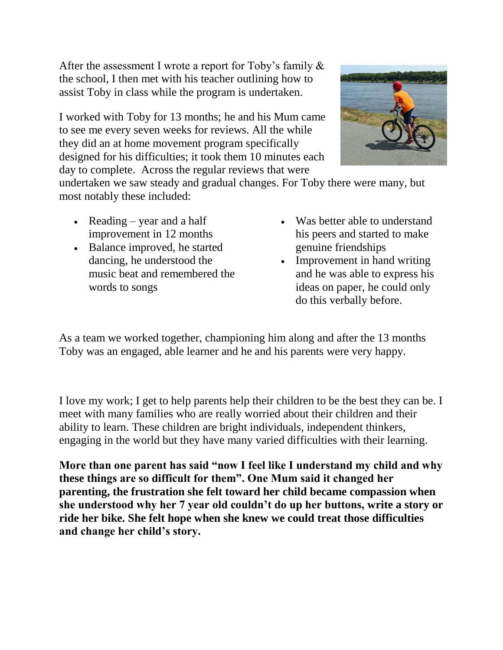After the assessment I wrote a report for Toby's family & the school, I then met with his teacher outlining how to assist Toby in class while the program is undertaken.

I worked with Toby for 13 months; he and his Mum came to see me every seven weeks for reviews. All the while they did an at home movement program specifically designed for his difficulties; it took them 10 minutes each day to complete. Across the regular reviews that were



undertaken we saw steady and gradual changes. For Toby there were many, but most notably these included:

- Reading year and a half improvement in 12 months
- Balance improved, he started dancing, he understood the music beat and remembered the words to songs
- Was better able to understand his peers and started to make genuine friendships
- Improvement in hand writing and he was able to express his ideas on paper, he could only do this verbally before.

As a team we worked together, championing him along and after the 13 months Toby was an engaged, able learner and he and his parents were very happy.

I love my work; I get to help parents help their children to be the best they can be. I meet with many families who are really worried about their children and their ability to learn. These children are bright individuals, independent thinkers, engaging in the world but they have many varied difficulties with their learning.

**More than one parent has said "now I feel like I understand my child and why these things are so difficult for them". One Mum said it changed her parenting, the frustration she felt toward her child became compassion when she understood why her 7 year old couldn't do up her buttons, write a story or ride her bike. She felt hope when she knew we could treat those difficulties and change her child's story.**